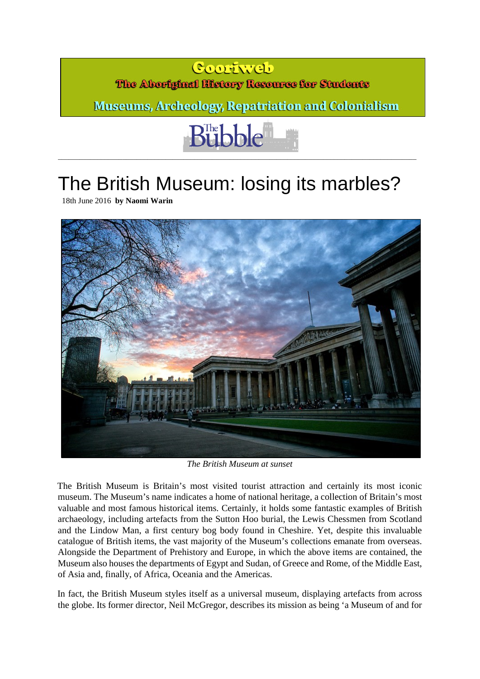## **Cooriveb**

## The Aboriginal History Resource for Students

**Museums, Archeology, Repatriation and Colonialism** 



\_\_\_\_\_\_\_\_\_\_\_\_\_\_\_\_\_\_\_\_\_\_\_\_\_\_\_\_\_\_\_\_\_\_\_\_\_\_\_\_\_\_\_\_\_\_\_\_\_\_\_\_\_\_\_\_\_\_\_\_\_\_\_\_\_\_\_\_\_\_\_\_\_\_\_\_\_\_\_\_\_\_\_\_\_\_\_\_\_\_\_\_\_\_\_\_\_\_\_\_

## The British Museum: losing its marbles?

[18th June 2016](http://www.thebubble.org.uk/comment/history/british-museum-losing-marbles/) **by [Naomi Warin](http://www.thebubble.org.uk/author/naomi-warin/)** 



*The British Museum at sunset* 

The British Museum is Britain's most visited tourist attraction and certainly its most iconic museum. The Museum's name indicates a home of national heritage, a collection of Britain's most valuable and most famous historical items. Certainly, it holds some fantastic examples of British archaeology, including artefacts from the Sutton Hoo burial, the Lewis Chessmen from Scotland and the Lindow Man, a first century bog body found in Cheshire. Yet, despite this invaluable catalogue of British items, the vast majority of the Museum's collections emanate from overseas. Alongside the Department of Prehistory and Europe, in which the above items are contained, the Museum also houses the departments of Egypt and Sudan, of Greece and Rome, of the Middle East, of Asia and, finally, of Africa, Oceania and the Americas.

In fact, the British Museum styles itself as a universal museum, displaying artefacts from across the globe. Its former director, Neil McGregor, describes its mission as being 'a Museum of and for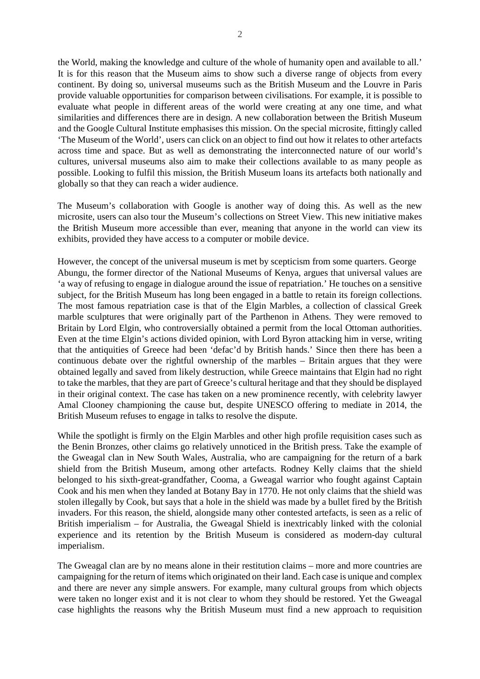the World, making the knowledge and culture of the whole of humanity open and available to all.' It is for this reason that the Museum aims to show such a diverse range of objects from every continent. By doing so, universal museums such as the British Museum and the Louvre in Paris provide valuable opportunities for comparison between civilisations. For example, it is possible to evaluate what people in different areas of the world were creating at any one time, and what similarities and differences there are in design. A new collaboration between the British Museum and the Google Cultural Institute emphasises this mission. On the special microsite, fittingly called ['The Museum of the World',](https://britishmuseum.withgoogle.com/) users can click on an object to find out how it relates to other artefacts across time and space. But as well as demonstrating the interconnected nature of our world's cultures, universal museums also aim to make their collections available to as many people as possible. Looking to fulfil this mission, the British Museum loans its artefacts both nationally and globally so that they can reach a wider audience.

The Museum's collaboration with Google is another way of doing this. As well as the new microsite, users can also tour the Museum's collections on Street View. This new initiative makes the British Museum more accessible than ever, meaning that anyone in the world can view its exhibits, provided they have access to a computer or mobile device.

However, the concept of the universal museum is met by scepticism from some quarters. George Abungu, the former director of the National Museums of Kenya, argues that universal values are 'a way of refusing to engage in dialogue around the issue of repatriation.' He touches on a sensitive subject, for the British Museum has long been engaged in a battle to retain its foreign collections. The most famous repatriation case is that of the Elgin Marbles, a collection of classical Greek marble sculptures that were originally part of the Parthenon in Athens. They were removed to Britain by Lord Elgin, who controversially obtained a permit from the local Ottoman authorities. Even at the time Elgin's actions divided opinion, with Lord Byron attacking him in verse, writing that the antiquities of Greece had been 'defac'd by British hands.' Since then there has been a continuous debate over the rightful ownership of the marbles – Britain argues that they were obtained legally and saved from likely destruction, while Greece maintains that Elgin had no right to take the marbles, that they are part of Greece's cultural heritage and that they should be displayed in their original context. The case has taken on a new prominence recently, with celebrity lawyer Amal Clooney championing the cause but, despite UNESCO offering to mediate in 2014, the British Museum refuses to engage in talks to resolve the dispute.

While the spotlight is firmly on the Elgin Marbles and other high profile requisition cases such as the Benin Bronzes, other claims go relatively unnoticed in the British press. Take the example of the Gweagal clan in New South Wales, Australia, who are campaigning for the return of a bark shield from the British Museum, among other artefacts. Rodney Kelly claims that the shield belonged to his sixth-great-grandfather, Cooma, a Gweagal warrior who fought against Captain Cook and his men when they landed at Botany Bay in 1770. He not only claims that the shield was stolen illegally by Cook, but says that a hole in the shield was made by a bullet fired by the British invaders. For this reason, the shield, alongside many other contested artefacts, is seen as a relic of British imperialism – for Australia, the Gweagal Shield is inextricably linked with the colonial experience and its retention by the British Museum is considered as modern-day cultural imperialism.

The Gweagal clan are by no means alone in their restitution claims – more and more countries are campaigning for the return of items which originated on their land. Each case is unique and complex and there are never any simple answers. For example, many cultural groups from which objects were taken no longer exist and it is not clear to whom they should be restored. Yet the Gweagal case highlights the reasons why the British Museum must find a new approach to requisition